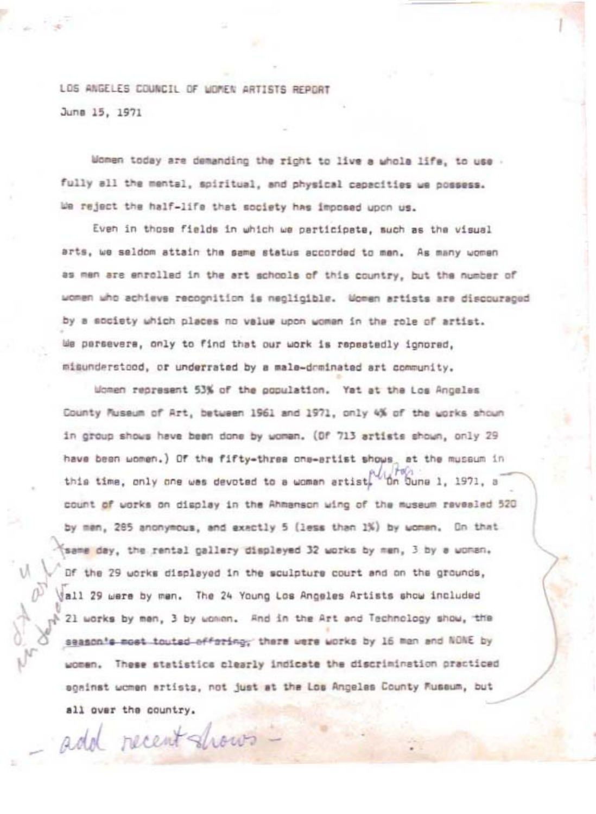LOS ANGELES COUNCIL OF WOMEN ARTISTS REPORT Juna 15, 1971

Women today are demanding the right to live a whole life, to use fully all the mental, spiritual, and physical capacities we possess. We reject the half-life that society has imposed upon us.

Even in those fields in which we participate, such as the visual arts, we seldom attain the same status accorded to men. As many women as men are enrolled in the art schools of this country, but the number of women who achieve recognition is negligible. Women artists are discouraged by a society which places no value upon woman in the role of artist. We persevere, only to find that our work is repeatedly ignored, misunderstood, or underrated by a male-dominated art community.

Women represent 53% of the gopulation. Yet at the Los Angeles County Museum of Art, between 1961 and 1971, only 4% of the works shown in group shows have been done by woman. (Of 713 artists shown, only 29 have been women.) Of the fifty-three ons-artist shows, at the museum in this time, only one was devoted to a woman artist, On Sune 1, 1971, a count of works on display in the Ahmanson wing of the museum revealed 520 by men, 285 anonymous, and exactly 5 (less than 1%) by women. On that same day, the rental gallery displayed 32 works by men, 3 by a woman, Of the 29 works displayed in the sculpture court and on the grounds, all 29 were by men. The 24 Young Los Angeles Artists show included 21 works by men, 3 by women. And in the Art and Technology show, the season's most touted offering; there were works by 16 man and NONE by women. These statistics clearly indicate the discrimination practiced scainst women artists, not just at the Los Angeles County Fuseum, but all over the country.

add recent shows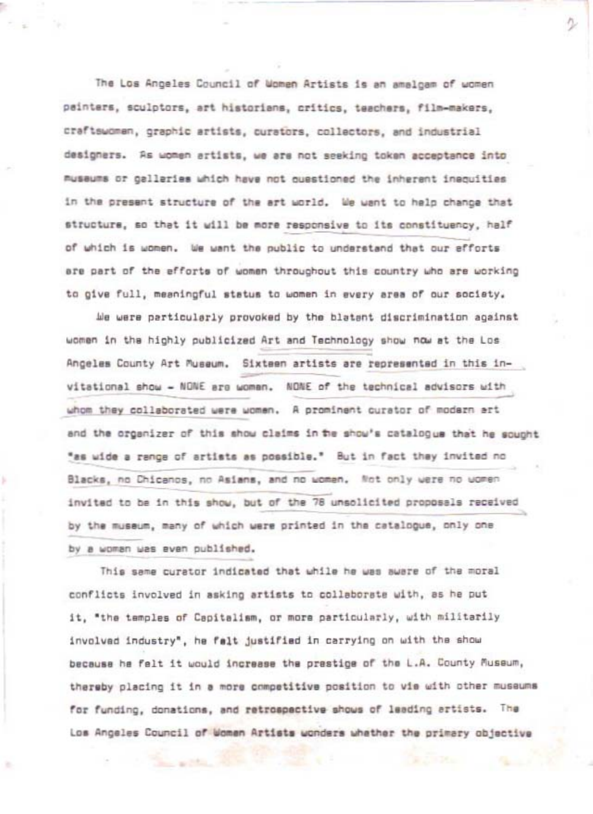The Los Angeles Council of Women Artists is an amalgam of women painters, sculptors, art historians, critics, teachers, film-makers, craftswoman, graphic artists, curators, collectors, and industrial designers. As women artists, we are not seeking token acceptance into musaums or galleries which have not ouestioned the inherent inequities in the present structure of the art world, We want to help change that structure, so that it will be more responsive to its constituency, half of which is women. We want the public to understand that our efforts are part of the efforts of women throughout this country who are working to give full, meaningful status to woman in every area of our society.

We were particularly provoked by the blatant discrimination against women in the highly publicized Art and Technology show now at the Los Angeles County Art Museum. Sixteen artists are represented in this invitational show - NONE are woman. NONE of the technical advisors with whom they collaborated were women. A prominent curator of modern art and the organizer of this show claims in the show's catalogue that he sought "as wide a range of artists as possible." But in fact they invited no Blacks, no Chicanos, no Asians, and no women. Not only were no women invited to be in this show, but of the 78 unsolicited proposals received by the museum, many of which were printed in the catalogue, only one by a woman was even published.

This same curator indicated that while he was aware of the moral conflicts involved in asking artists to collaborate with, as he put it, "the temples of Capitalism, or more particularly, with militarily involved industry", he falt justified in carrying on with the show because he felt it would increase the prestige of the L.A. County Museum, thereby placing it in a more competitive position to vie with other museums for funding, donations, and retrospective shows of leading artists. The Los Angeles Council of Women Artists wonders whether the primary objective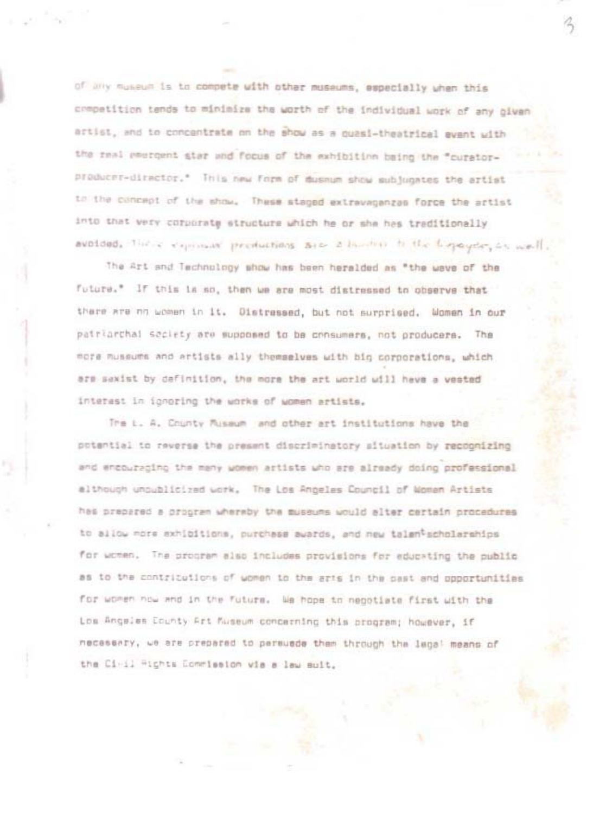of any museum is to compete with other museums, especially when this competition tends to minimize the worth of the individual work of any given artist, and to concentrate on the show as a quasi-theatrical event with the real emergent star and focus of the exhibition baing the "curatorproducer-director." This new form of duseum show subjugates the artist to the concept of the show. These staged extravagenzas force the artist into that very corporate structure which he or she has traditionally avoided. Their expression preductions are allowing to the higraydry on well.

The Art and Technology show has been heralded as "the weve of the future." If this is so, then we are most distressed to observe that there are no women in it. Distressed, but not surprised. Women in our patriarchal seciety are supposed to be consumers, not producers. The more museums and artists ally themselves with big corporations, which are sexist by definition, the more the art world will heve a vested interest in ignoring the works of women artists.

The L. A. Chunty Russum and other art institutions have the potential to reverse the present discriminatory situation by recognizing and encouraging the many women artists who are already doing professional although uncublicized work. The Los Angeles Council of Momen Artists has prepared a program whereby the museums would alter certain procedures to allow more exhibitions, purchase awards, and new talentscholarships for women. The program also includes provisions for educating the public as to the contritutions of women to the arts in the past and opportunities for women now and in the future. We hope to negotiate first with the Los Angales County Art Museum concerning this program; however, if necessary, we are prepared to persuede them through the lags! means of the Ci-il Hights Commission wis s law suit.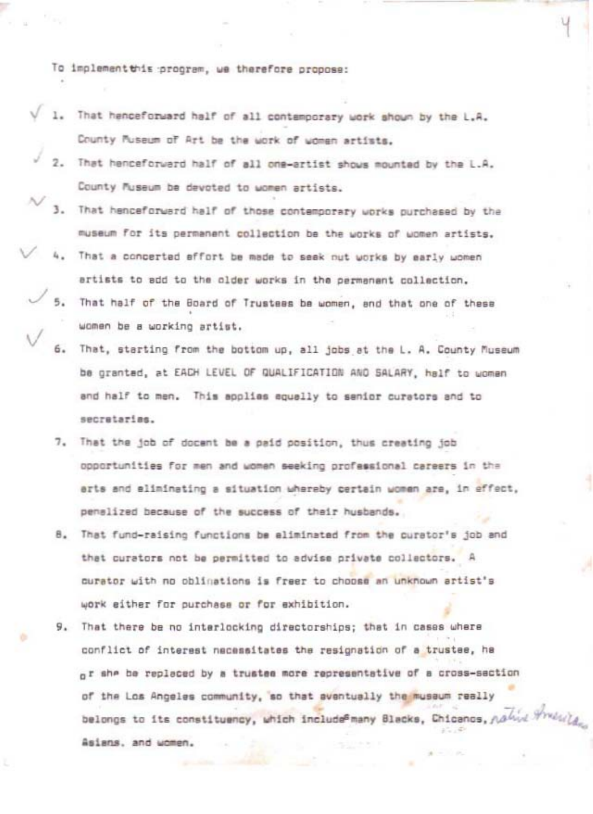To implementthis program, we therefore propose:

- 1. That henceforward half of all contemporary work shown by the L.A. County Museum of Art be the work of women artists.
- 2. That henceforward half of all one-artist shows mounted by the L.A. County Museum be devoted to women artists.
- 3. That henceforward half of those contemporary works purchased by the museum for its permanent collection be the works of women artists.
- That a concerted effort be made to seek nut works by early women artists to add to the older works in the permanant collection.
	- 5. That half of the Board of Trustees be women, and that one of these women be a working artist.
	- That, starting from the bottom up, all jobs at the L. A. County Museum be granted, at EACH LEVEL OF QUALIFICATION AND SALARY, half to women and half to men. This applies equally to senior curators and to secretaries.
	- 7. That the job of docent be a paid position, thus creating job opportunities for men and women seeking professional careers in the erts and eliminating a situation whereby certain women are, in effect, penalized because of the success of their husbands.
	- 8. That fund-raising functions be eliminated from the curator's job and that curators not be permitted to advise private collectors. A curator with no oblinations is freer to choose an unknown artist's work either for purchase or for exhibition.
	- 9. That there be no interlocking directorships; that in cases where conflict of interest necessitates the resignation of a trustee, ha of she be replaced by a trustee more representative of a cross-saction of the Los Angeles community, so that aventually the museum really belongs to its constituency, which include<sup>s</sup>many Blacks, Chicanos, nahid Arminia Asians, and women.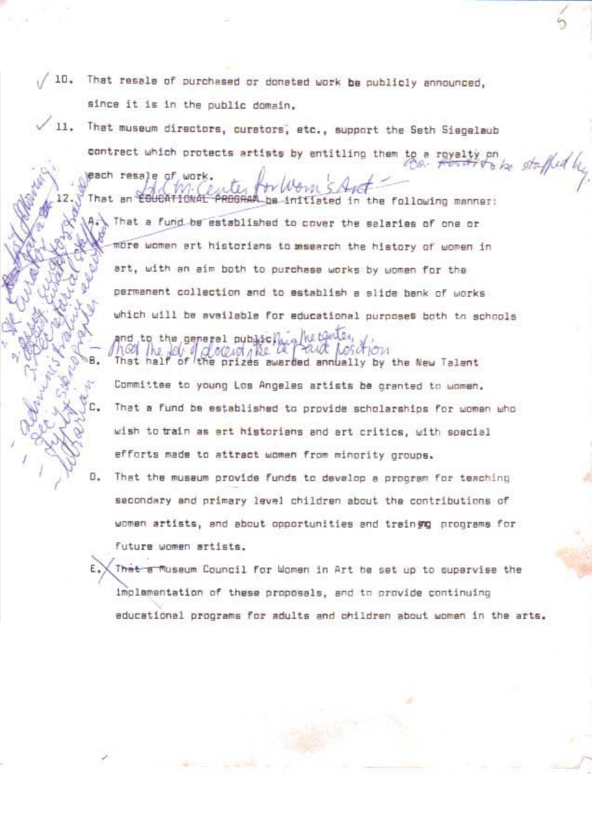- 10. That resale of purchased or donated work be publicly announced, since it is in the public domain.
- 11. That museum directors, curators, etc., support the Seth Siegelaub contract which protects artists by entitling them to

each resale of wor

RBGRAM be initiated in the following manner: That an That a fund be established to cover the salaries of one or more women art historians to masearch the history of women in art, with an aim both to purchase works by women for the permanent collection and to establish a slide bank of works which will be available for educational purposes both to schools and to the general public.

staffed by

e prizes awarded annually by the New Talent Committee to young Los Angeles artists be granted to women. That a fund be established to provide scholarships for women who wish to train as art historians and art critics, with spacial efforts made to attract women from minority oroups.

D. That the museum provide funds to develop a program for teaching secondary and primary level children about the contributions of women artists, and about opportunities and training programs for future women artists.

That a Museum Council for Women in Art he set up to supervise the implementation of these proposals, and to provide continuing educational programs for adults and children about women in the arts.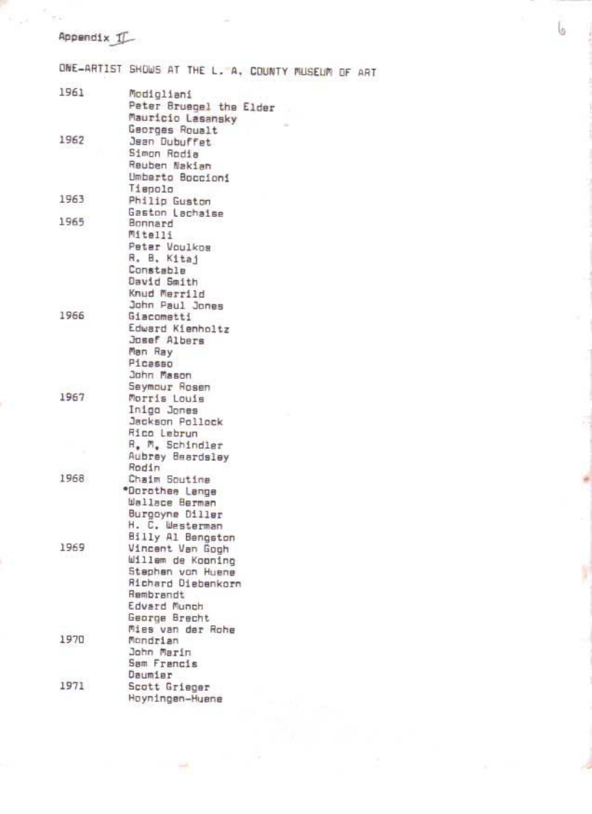## Appendix I

ONE-ARTIST SHOWS AT THE L. A, COUNTY MUSEUM OF ART

| Peter Bruegel the Elder<br>Mauricio Lasansky<br>Georges Roualt<br>1962<br>Jean Dubuffet<br>Simon Rodia<br>Reuben Nakian<br>Umberto Boccioni<br>Tiepolo<br>1963<br>Philip Guston<br>Gaston Lachaise<br>1965<br>Bonnard<br>Mitelli<br>Peter Voulkos<br>R. B. Kitaj<br>Constable<br>David Smith<br>Knud Merrild<br>John Paul Jones<br>1966<br><b>Giacometti</b><br>Edward Kienholtz<br>Josef Albers<br>Man Ray<br>Picasso<br>John Mason<br>Seymour Rosen<br>1967<br>Morris Louis<br>Inigo Jones<br>Jackson Pollock<br>Rico Lebrun<br>R. M. Schindler<br>Aubrey Beardsley<br>Rodin<br>1968<br>Chaim Soutine<br>*Dorothes Lange<br>Wallace Berman<br>Burgoyne Diller<br>H. C. Westerman<br>Billy Al Bengston<br>1969<br>Vincent Van Gogh<br>Willem de Koaning<br>Stephen von Huene<br>Richard Diebenkorn<br>Rembrandt<br>Edvard Munch<br>George Brecht<br>Mies van der Rohe<br>1970<br>Mondrian<br>John Marin<br>Sam Francis<br>Daumier<br>1971<br>Scott Grieger<br>Hoyningen-Huene | 1961 | Modigliani |
|--------------------------------------------------------------------------------------------------------------------------------------------------------------------------------------------------------------------------------------------------------------------------------------------------------------------------------------------------------------------------------------------------------------------------------------------------------------------------------------------------------------------------------------------------------------------------------------------------------------------------------------------------------------------------------------------------------------------------------------------------------------------------------------------------------------------------------------------------------------------------------------------------------------------------------------------------------------------------------|------|------------|
|                                                                                                                                                                                                                                                                                                                                                                                                                                                                                                                                                                                                                                                                                                                                                                                                                                                                                                                                                                                |      |            |
|                                                                                                                                                                                                                                                                                                                                                                                                                                                                                                                                                                                                                                                                                                                                                                                                                                                                                                                                                                                |      |            |
|                                                                                                                                                                                                                                                                                                                                                                                                                                                                                                                                                                                                                                                                                                                                                                                                                                                                                                                                                                                |      |            |
|                                                                                                                                                                                                                                                                                                                                                                                                                                                                                                                                                                                                                                                                                                                                                                                                                                                                                                                                                                                |      |            |
|                                                                                                                                                                                                                                                                                                                                                                                                                                                                                                                                                                                                                                                                                                                                                                                                                                                                                                                                                                                |      |            |
|                                                                                                                                                                                                                                                                                                                                                                                                                                                                                                                                                                                                                                                                                                                                                                                                                                                                                                                                                                                |      |            |
|                                                                                                                                                                                                                                                                                                                                                                                                                                                                                                                                                                                                                                                                                                                                                                                                                                                                                                                                                                                |      |            |
|                                                                                                                                                                                                                                                                                                                                                                                                                                                                                                                                                                                                                                                                                                                                                                                                                                                                                                                                                                                |      |            |
|                                                                                                                                                                                                                                                                                                                                                                                                                                                                                                                                                                                                                                                                                                                                                                                                                                                                                                                                                                                |      |            |
|                                                                                                                                                                                                                                                                                                                                                                                                                                                                                                                                                                                                                                                                                                                                                                                                                                                                                                                                                                                |      |            |
|                                                                                                                                                                                                                                                                                                                                                                                                                                                                                                                                                                                                                                                                                                                                                                                                                                                                                                                                                                                |      |            |
|                                                                                                                                                                                                                                                                                                                                                                                                                                                                                                                                                                                                                                                                                                                                                                                                                                                                                                                                                                                |      |            |
|                                                                                                                                                                                                                                                                                                                                                                                                                                                                                                                                                                                                                                                                                                                                                                                                                                                                                                                                                                                |      |            |
|                                                                                                                                                                                                                                                                                                                                                                                                                                                                                                                                                                                                                                                                                                                                                                                                                                                                                                                                                                                |      |            |
|                                                                                                                                                                                                                                                                                                                                                                                                                                                                                                                                                                                                                                                                                                                                                                                                                                                                                                                                                                                |      |            |
|                                                                                                                                                                                                                                                                                                                                                                                                                                                                                                                                                                                                                                                                                                                                                                                                                                                                                                                                                                                |      |            |
|                                                                                                                                                                                                                                                                                                                                                                                                                                                                                                                                                                                                                                                                                                                                                                                                                                                                                                                                                                                |      |            |
|                                                                                                                                                                                                                                                                                                                                                                                                                                                                                                                                                                                                                                                                                                                                                                                                                                                                                                                                                                                |      |            |
|                                                                                                                                                                                                                                                                                                                                                                                                                                                                                                                                                                                                                                                                                                                                                                                                                                                                                                                                                                                |      |            |
|                                                                                                                                                                                                                                                                                                                                                                                                                                                                                                                                                                                                                                                                                                                                                                                                                                                                                                                                                                                |      |            |
|                                                                                                                                                                                                                                                                                                                                                                                                                                                                                                                                                                                                                                                                                                                                                                                                                                                                                                                                                                                |      |            |
|                                                                                                                                                                                                                                                                                                                                                                                                                                                                                                                                                                                                                                                                                                                                                                                                                                                                                                                                                                                |      |            |
|                                                                                                                                                                                                                                                                                                                                                                                                                                                                                                                                                                                                                                                                                                                                                                                                                                                                                                                                                                                |      |            |
|                                                                                                                                                                                                                                                                                                                                                                                                                                                                                                                                                                                                                                                                                                                                                                                                                                                                                                                                                                                |      |            |
|                                                                                                                                                                                                                                                                                                                                                                                                                                                                                                                                                                                                                                                                                                                                                                                                                                                                                                                                                                                |      |            |
|                                                                                                                                                                                                                                                                                                                                                                                                                                                                                                                                                                                                                                                                                                                                                                                                                                                                                                                                                                                |      |            |
|                                                                                                                                                                                                                                                                                                                                                                                                                                                                                                                                                                                                                                                                                                                                                                                                                                                                                                                                                                                |      |            |
|                                                                                                                                                                                                                                                                                                                                                                                                                                                                                                                                                                                                                                                                                                                                                                                                                                                                                                                                                                                |      |            |
|                                                                                                                                                                                                                                                                                                                                                                                                                                                                                                                                                                                                                                                                                                                                                                                                                                                                                                                                                                                |      |            |
|                                                                                                                                                                                                                                                                                                                                                                                                                                                                                                                                                                                                                                                                                                                                                                                                                                                                                                                                                                                |      |            |
|                                                                                                                                                                                                                                                                                                                                                                                                                                                                                                                                                                                                                                                                                                                                                                                                                                                                                                                                                                                |      |            |
|                                                                                                                                                                                                                                                                                                                                                                                                                                                                                                                                                                                                                                                                                                                                                                                                                                                                                                                                                                                |      |            |
|                                                                                                                                                                                                                                                                                                                                                                                                                                                                                                                                                                                                                                                                                                                                                                                                                                                                                                                                                                                |      |            |
|                                                                                                                                                                                                                                                                                                                                                                                                                                                                                                                                                                                                                                                                                                                                                                                                                                                                                                                                                                                |      |            |
|                                                                                                                                                                                                                                                                                                                                                                                                                                                                                                                                                                                                                                                                                                                                                                                                                                                                                                                                                                                |      |            |
|                                                                                                                                                                                                                                                                                                                                                                                                                                                                                                                                                                                                                                                                                                                                                                                                                                                                                                                                                                                |      |            |
|                                                                                                                                                                                                                                                                                                                                                                                                                                                                                                                                                                                                                                                                                                                                                                                                                                                                                                                                                                                |      |            |
|                                                                                                                                                                                                                                                                                                                                                                                                                                                                                                                                                                                                                                                                                                                                                                                                                                                                                                                                                                                |      |            |
|                                                                                                                                                                                                                                                                                                                                                                                                                                                                                                                                                                                                                                                                                                                                                                                                                                                                                                                                                                                |      |            |
|                                                                                                                                                                                                                                                                                                                                                                                                                                                                                                                                                                                                                                                                                                                                                                                                                                                                                                                                                                                |      |            |
|                                                                                                                                                                                                                                                                                                                                                                                                                                                                                                                                                                                                                                                                                                                                                                                                                                                                                                                                                                                |      |            |
|                                                                                                                                                                                                                                                                                                                                                                                                                                                                                                                                                                                                                                                                                                                                                                                                                                                                                                                                                                                |      |            |
|                                                                                                                                                                                                                                                                                                                                                                                                                                                                                                                                                                                                                                                                                                                                                                                                                                                                                                                                                                                |      |            |
|                                                                                                                                                                                                                                                                                                                                                                                                                                                                                                                                                                                                                                                                                                                                                                                                                                                                                                                                                                                |      |            |
|                                                                                                                                                                                                                                                                                                                                                                                                                                                                                                                                                                                                                                                                                                                                                                                                                                                                                                                                                                                |      |            |
|                                                                                                                                                                                                                                                                                                                                                                                                                                                                                                                                                                                                                                                                                                                                                                                                                                                                                                                                                                                |      |            |
|                                                                                                                                                                                                                                                                                                                                                                                                                                                                                                                                                                                                                                                                                                                                                                                                                                                                                                                                                                                |      |            |
|                                                                                                                                                                                                                                                                                                                                                                                                                                                                                                                                                                                                                                                                                                                                                                                                                                                                                                                                                                                |      |            |
|                                                                                                                                                                                                                                                                                                                                                                                                                                                                                                                                                                                                                                                                                                                                                                                                                                                                                                                                                                                |      |            |
|                                                                                                                                                                                                                                                                                                                                                                                                                                                                                                                                                                                                                                                                                                                                                                                                                                                                                                                                                                                |      |            |
|                                                                                                                                                                                                                                                                                                                                                                                                                                                                                                                                                                                                                                                                                                                                                                                                                                                                                                                                                                                |      |            |
|                                                                                                                                                                                                                                                                                                                                                                                                                                                                                                                                                                                                                                                                                                                                                                                                                                                                                                                                                                                |      |            |

G